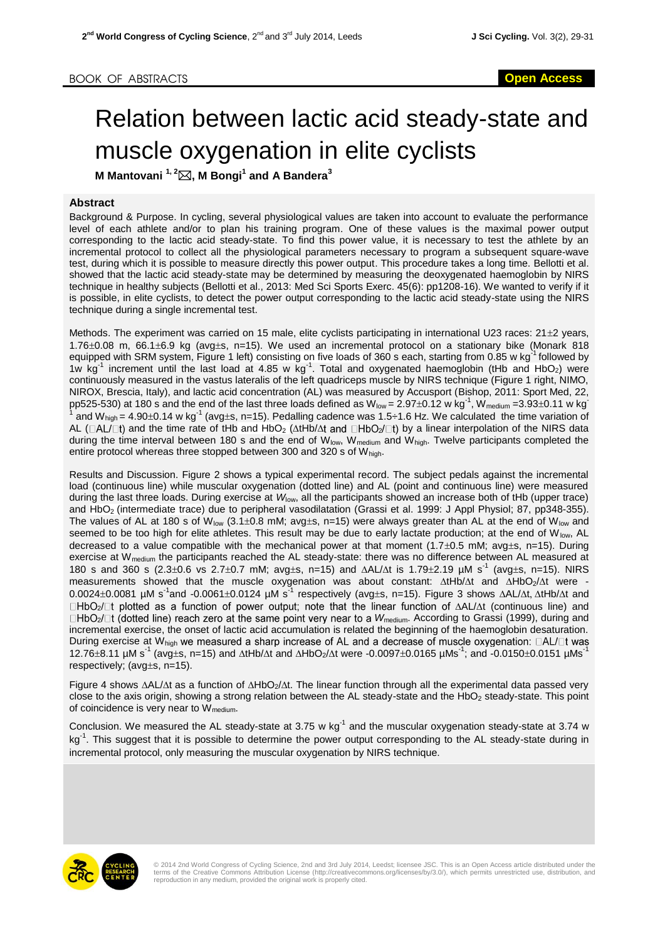## Relation between lactic acid steady-state and muscle oxygenation in elite cyclists

**M Mantovani 1, 2, M Bongi<sup>1</sup> and A Bandera<sup>3</sup>**

## **Abstract**

Background & Purpose. In cycling, several physiological values are taken into account to evaluate the performance level of each athlete and/or to plan his training program. One of these values is the maximal power output corresponding to the lactic acid steady-state. To find this power value, it is necessary to test the athlete by an incremental protocol to collect all the physiological parameters necessary to program a subsequent square-wave test, during which it is possible to measure directly this power output. This procedure takes a long time. Bellotti et al. showed that the lactic acid steady-state may be determined by measuring the deoxygenated haemoglobin by NIRS technique in healthy subjects (Bellotti et al., 2013: Med Sci Sports Exerc. 45(6): pp1208-16). We wanted to verify if it is possible, in elite cyclists, to detect the power output corresponding to the lactic acid steady-state using the NIRS technique during a single incremental test.

Methods. The experiment was carried on 15 male, elite cyclists participating in international U23 races:  $21\pm2$  years,  $1.76\pm0.08$  m, 66.1 $\pm$ 6.9 kg (avg $\pm$ s, n=15). We used an incremental protocol on a stationary bike (Monark 818 equipped with SRM system, Figure 1 left) consisting on five loads of 360 s each, starting from 0.85 w kg<sup>-1</sup> followed by 1w  $kg^{-1}$  increment until the last load at 4.85 w  $kg^{-1}$ . Total and oxygenated haemoglobin (tHb and HbO<sub>2</sub>) were continuously measured in the vastus lateralis of the left quadriceps muscle by NIRS technique (Figure 1 right, NIMO, NIROX, Brescia, Italy), and lactic acid concentration (AL) was measured by Accusport (Bishop, 2011: Sport Med, 22, pp525-530) at 180 s and the end of the last three loads defined as  $W_{\text{low}} = 2.97 \pm 0.12$  w kg<sup>-1</sup>,  $W_{\text{medium}} = 3.93 \pm 0.11$  w kg<sup>-1</sup> 1 and W<sub>high</sub> = 4.90±0.14 w kg<sup>-1</sup> (avg±s, n=15). Pedalling cadence was 1.5÷1.6 Hz. We calculated the time variation of AL ( $\Box$ AL/ $\Box$ t) and the time rate of tHb and HbO<sub>2</sub> ( $\Delta$ tHb/ $\Delta$ t and  $\Box$ HbO<sub>2</sub>/ $\Box$ t) by a linear interpolation of the NIRS data during the time interval between 180 s and the end of  $W_{low}$ ,  $W_{medium}$  and  $W_{high}$ . Twelve participants completed the entire protocol whereas three stopped between 300 and 320 s of  $W_{\text{hich}}$ .

Results and Discussion. Figure 2 shows a typical experimental record. The subject pedals against the incremental load (continuous line) while muscular oxygenation (dotted line) and AL (point and continuous line) were measured during the last three loads. During exercise at *W*low, all the participants showed an increase both of tHb (upper trace) and HbO2 (intermediate trace) due to peripheral vasodilatation (Grassi et al. 1999: J Appl Physiol; 87, pp348-355). The values of AL at 180 s of W<sub>low</sub> (3.1±0.8 mM; avg±s, n=15) were always greater than AL at the end of W<sub>low</sub> and seemed to be too high for elite athletes. This result may be due to early lactate production; at the end of  $W_{low}$ , AL decreased to a value compatible with the mechanical power at that moment  $(1.7\pm0.5 \text{ mM})$ ; avg $\pm$ s, n=15). During exercise at W<sub>medium</sub> the participants reached the AL steady-state: there was no difference between AL measured at 180 s and 360 s (2.3±0.6 vs 2.7±0.7 mM; avg±s, n=15) and  $\Delta$ AL/ $\Delta$ t is 1.79±2.19 µM s<sup>-1</sup> (avg±s, n=15). NIRS measurements showed that the muscle oxygenation was about constant:  $\Delta t H b/\Delta t$  and  $\Delta H bO_2/\Delta t$  were - $0.0024\pm0.0081$  µM s<sup>-1</sup>and -0.0061 $\pm$ 0.0124 µM s<sup>-1</sup> respectively (avg $\pm$ s, n=15). Figure 3 shows  $\Delta$ AL/ $\Delta$ t,  $\Delta$ tHb/ $\Delta$ t and  $\Box$ HbO<sub>2</sub>/ $\Box$ t plotted as a function of power output; note that the linear function of  $\Delta$ AL/ $\Delta$ t (continuous line) and  $\Box$ HbO<sub>2</sub>/ $\Box$ t (dotted line) reach zero at the same point very near to a W<sub>medium</sub>. According to Grassi (1999), during and incremental exercise, the onset of lactic acid accumulation is related the beginning of the haemoglobin desaturation. During exercise at W<sub>high</sub> we measured a sharp increase of AL and a decrease of muscle oxygenation:  $\Box$ AL/ $\Box$ t was 12.76±8.11 µM s<sup>-1</sup> (avg±s, n=15) and  $\Delta$ tHb/ $\Delta$ t and  $\Delta$ HbO<sub>2</sub>/ $\Delta$ t were -0.0097±0.0165 µMs<sup>-1</sup>; and -0.0150±0.0151 µMs<sup>-1</sup> respectively; (avg $\pm$ s, n=15).

Figure 4 shows  $\Delta$ AL/ $\Delta$ t as a function of  $\Delta$ HbO<sub>2</sub>/ $\Delta$ t. The linear function through all the experimental data passed very close to the axis origin, showing a strong relation between the AL steady-state and the HbO<sub>2</sub> steady-state. This point of coincidence is very near to  $W_{\text{medium}}$ .

Conclusion. We measured the AL steady-state at 3.75 w  $kg^{-1}$  and the muscular oxygenation steady-state at 3.74 w kg<sup>-1</sup>. This suggest that it is possible to determine the power output corresponding to the AL steady-state during in incremental protocol, only measuring the muscular oxygenation by NIRS technique.



© 2014 2nd World Congress of Cycling Science, 2nd and 3rd July 2014, Leedst; licensee JSC. This is an Open Access article distributed under the<br>terms of the Creative Commons Attribution License (http://creativecommons.org/ reproduction in any medium, provided the original work is properly cited.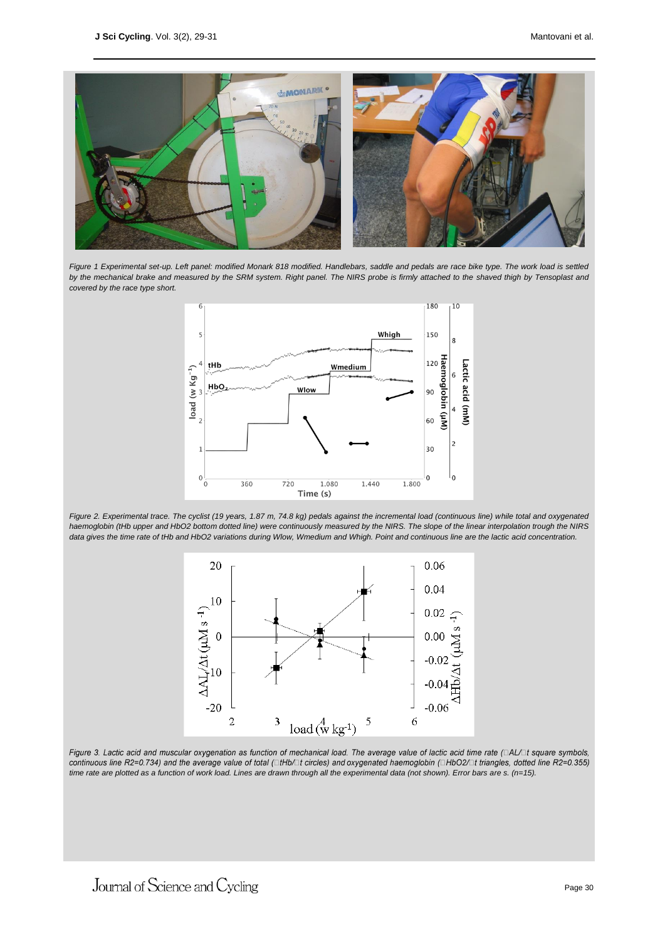

Figure 1 Experimental set-up. Left panel: modified Monark 818 modified. Handlebars, saddle and pedals are race bike type. The work load is settled by the mechanical brake and measured by the SRM system. Right panel. The NIRS probe is firmly attached to the shaved thigh by Tensoplast and *covered by the race type short.*



*Figure 2. Experimental trace. The cyclist (19 years, 1.87 m, 74.8 kg) pedals against the incremental load (continuous line) while total and oxygenated haemoglobin (tHb upper and HbO2 bottom dotted line) were continuously measured by the NIRS. The slope of the linear interpolation trough the NIRS data gives the time rate of tHb and HbO2 variations during Wlow, Wmedium and Whigh. Point and continuous line are the lactic acid concentration.*



Figure 3. Lactic acid and muscular oxygenation as function of mechanical load. The average value of lactic acid time rate ( $\Box$ AL/ $\Box$ t square symbols, continuous line R2=0.734) and the average value of total (□tHb/□t circles) and oxygenated haemoglobin (□HbO2/□t triangles, dotted line R2=0.355) *time rate are plotted as a function of work load. Lines are drawn through all the experimental data (not shown). Error bars are s. (n=15).*